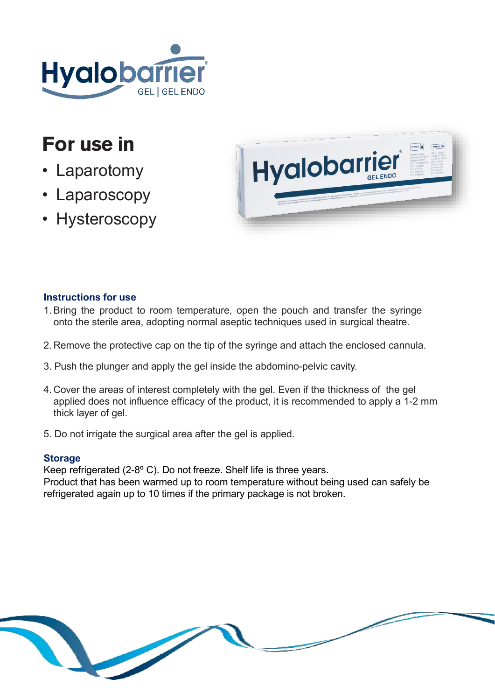

# **For use in**

- **Laparotomy**
- **Laparoscopy**
- **Hysteroscopy**



# **Instructions for use**

- 1.Bring the product to room temperature, open the pouch and transfer the syringe onto the sterile area, adopting normal aseptic techniques used in surgical theatre.
- 2. Remove the protective cap on the tip of the syringe and attach the enclosed cannula.
- 3. Push the plunger and apply the gel inside the abdomino-pelvic cavity.
- 4. Cover the areas of interest completely with the gel. Even if the thickness of the gel applied does not influence efficacy of the product, it is recommended to apply a 1-2 mm thick layer of gel.
- 5. Do not irrigate the surgical area after the gel is applied.

# **Storage**

Keep refrigerated (2-8º C). Do not freeze. Shelf life is three years. Product that has been warmed up to room temperature without being used can safely be refrigerated again up to 10 times if the primary package is not broken.